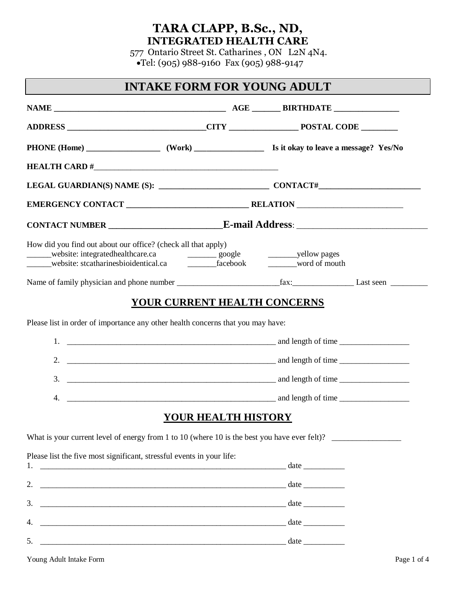### **TARA CLAPP, B.Sc., ND, INTEGRATED HEALTH CARE**

 577 Ontario Street St. Catharines , ON L2N 4N4. •Tel: (905) 988-9160 Fax (905) 988-9147

#### **INTAKE FORM FOR YOUNG ADULT**

| How did you find out about our office? (check all that apply)<br>______website: stcatharinesbioidentical.ca _________________facebook _________word of mouth |                                     |  |
|--------------------------------------------------------------------------------------------------------------------------------------------------------------|-------------------------------------|--|
|                                                                                                                                                              |                                     |  |
|                                                                                                                                                              | <b>YOUR CURRENT HEALTH CONCERNS</b> |  |
| Please list in order of importance any other health concerns that you may have:                                                                              |                                     |  |
|                                                                                                                                                              |                                     |  |
| 2. $\frac{1}{2}$ and length of time $\frac{1}{2}$ and length of time $\frac{1}{2}$ and length of time $\frac{1}{2}$                                          |                                     |  |
| 3. $\frac{1}{2}$ and length of time $\frac{1}{2}$ and length of time $\frac{1}{2}$ and length of time $\frac{1}{2}$                                          |                                     |  |
|                                                                                                                                                              |                                     |  |
|                                                                                                                                                              | <b>YOUR HEALTH HISTORY</b>          |  |
| What is your current level of energy from 1 to 10 (where 10 is the best you have ever felt)?                                                                 |                                     |  |
| Please list the five most significant, stressful events in your life:                                                                                        |                                     |  |
|                                                                                                                                                              |                                     |  |
|                                                                                                                                                              |                                     |  |
| 3.                                                                                                                                                           |                                     |  |
| 4.                                                                                                                                                           |                                     |  |
|                                                                                                                                                              |                                     |  |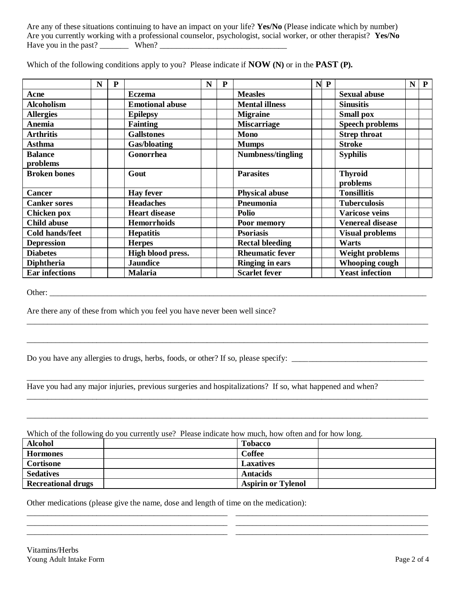Are any of these situations continuing to have an impact on your life? **Yes/No** (Please indicate which by number) Are you currently working with a professional counselor, psychologist, social worker, or other therapist? **Yes/No** Have you in the past? \_\_\_\_\_\_\_ When? \_\_\_\_\_\_\_\_\_\_\_\_\_\_\_\_\_\_\_\_\_\_\_\_\_\_\_\_\_\_\_

|                        | N | ${\bf P}$ |                        | N | ${\bf P}$ |                        | $N$ $P$ |                         | $\mathbf N$ | $\mathbf{P}$ |
|------------------------|---|-----------|------------------------|---|-----------|------------------------|---------|-------------------------|-------------|--------------|
| Acne                   |   |           | <b>Eczema</b>          |   |           | <b>Measles</b>         |         | <b>Sexual abuse</b>     |             |              |
| <b>Alcoholism</b>      |   |           | <b>Emotional abuse</b> |   |           | <b>Mental illness</b>  |         | <b>Sinusitis</b>        |             |              |
| <b>Allergies</b>       |   |           | <b>Epilepsy</b>        |   |           | <b>Migraine</b>        |         | <b>Small pox</b>        |             |              |
| <b>Anemia</b>          |   |           | <b>Fainting</b>        |   |           | <b>Miscarriage</b>     |         | <b>Speech problems</b>  |             |              |
| <b>Arthritis</b>       |   |           | <b>Gallstones</b>      |   |           | Mono                   |         | <b>Strep throat</b>     |             |              |
| <b>Asthma</b>          |   |           | Gas/bloating           |   |           | <b>Mumps</b>           |         | <b>Stroke</b>           |             |              |
| <b>Balance</b>         |   |           | Gonorrhea              |   |           | Numbness/tingling      |         | <b>Syphilis</b>         |             |              |
| problems               |   |           |                        |   |           |                        |         |                         |             |              |
| <b>Broken bones</b>    |   |           | Gout                   |   |           | <b>Parasites</b>       |         | <b>Thyroid</b>          |             |              |
|                        |   |           |                        |   |           |                        |         | problems                |             |              |
| <b>Cancer</b>          |   |           | <b>Hay fever</b>       |   |           | <b>Physical abuse</b>  |         | <b>Tonsillitis</b>      |             |              |
| <b>Canker sores</b>    |   |           | <b>Headaches</b>       |   |           | Pneumonia              |         | <b>Tuberculosis</b>     |             |              |
| Chicken pox            |   |           | <b>Heart disease</b>   |   |           | Polio                  |         | <b>Varicose veins</b>   |             |              |
| <b>Child abuse</b>     |   |           | <b>Hemorrhoids</b>     |   |           | Poor memory            |         | <b>Venereal disease</b> |             |              |
| <b>Cold hands/feet</b> |   |           | <b>Hepatitis</b>       |   |           | <b>Psoriasis</b>       |         | <b>Visual problems</b>  |             |              |
| <b>Depression</b>      |   |           | <b>Herpes</b>          |   |           | <b>Rectal bleeding</b> |         | Warts                   |             |              |
| <b>Diabetes</b>        |   |           | High blood press.      |   |           | <b>Rheumatic fever</b> |         | <b>Weight problems</b>  |             |              |
| <b>Diphtheria</b>      |   |           | <b>Jaundice</b>        |   |           | <b>Ringing in ears</b> |         | <b>Whooping cough</b>   |             |              |
| <b>Ear infections</b>  |   |           | <b>Malaria</b>         |   |           | <b>Scarlet fever</b>   |         | <b>Yeast infection</b>  |             |              |

Which of the following conditions apply to you? Please indicate if **NOW (N)** or in the **PAST (P).**

Other:

Are there any of these from which you feel you have never been well since?

Do you have any allergies to drugs, herbs, foods, or other? If so, please specify: \_\_\_\_\_\_\_\_\_\_\_\_\_\_\_\_\_\_\_\_\_\_\_\_\_\_\_

Have you had any major injuries, previous surgeries and hospitalizations? If so, what happened and when?

Which of the following do you currently use? Please indicate how much, how often and for how long.

| <b>Alcohol</b>            | <b>Tobacco</b>            |  |
|---------------------------|---------------------------|--|
| <b>Hormones</b>           | Coffee                    |  |
| Cortisone                 | <b>Laxatives</b>          |  |
| <b>Sedatives</b>          | <b>Antacids</b>           |  |
| <b>Recreational drugs</b> | <b>Aspirin or Tylenol</b> |  |

\_\_\_\_\_\_\_\_\_\_\_\_\_\_\_\_\_\_\_\_\_\_\_\_\_\_\_\_\_\_\_\_\_\_\_\_\_\_\_\_\_\_\_\_\_\_\_\_\_ \_\_\_\_\_\_\_\_\_\_\_\_\_\_\_\_\_\_\_\_\_\_\_\_\_\_\_\_\_\_\_\_\_\_\_\_\_\_\_\_\_\_\_\_\_\_\_ \_\_\_\_\_\_\_\_\_\_\_\_\_\_\_\_\_\_\_\_\_\_\_\_\_\_\_\_\_\_\_\_\_\_\_\_\_\_\_\_\_\_\_\_\_\_\_\_\_ \_\_\_\_\_\_\_\_\_\_\_\_\_\_\_\_\_\_\_\_\_\_\_\_\_\_\_\_\_\_\_\_\_\_\_\_\_\_\_\_\_\_\_\_\_\_\_ \_\_\_\_\_\_\_\_\_\_\_\_\_\_\_\_\_\_\_\_\_\_\_\_\_\_\_\_\_\_\_\_\_\_\_\_\_\_\_\_\_\_\_\_\_\_\_\_\_ \_\_\_\_\_\_\_\_\_\_\_\_\_\_\_\_\_\_\_\_\_\_\_\_\_\_\_\_\_\_\_\_\_\_\_\_\_\_\_\_\_\_\_\_\_\_\_

\_\_\_\_\_\_\_\_\_\_\_\_\_\_\_\_\_\_\_\_\_\_\_\_\_\_\_\_\_\_\_\_\_\_\_\_\_\_\_\_\_\_\_\_\_\_\_\_\_\_\_\_\_\_\_\_\_\_\_\_\_\_\_\_\_\_\_\_\_\_\_\_\_\_\_\_\_\_\_\_\_\_\_\_\_\_\_\_\_\_\_\_\_\_\_\_\_\_

\_\_\_\_\_\_\_\_\_\_\_\_\_\_\_\_\_\_\_\_\_\_\_\_\_\_\_\_\_\_\_\_\_\_\_\_\_\_\_\_\_\_\_\_\_\_\_\_\_\_\_\_\_\_\_\_\_\_\_\_\_\_\_\_\_\_\_\_\_\_\_\_\_\_\_\_\_\_\_\_\_\_\_\_\_\_\_\_\_\_\_\_\_\_\_\_\_\_

\_\_\_\_\_\_\_\_\_\_\_\_\_\_\_\_\_\_\_\_\_\_\_\_\_\_\_\_\_\_\_\_\_\_\_\_\_\_\_\_\_\_\_\_\_\_\_\_\_\_\_\_\_\_\_\_\_\_\_\_\_\_\_\_\_\_\_\_\_\_\_\_\_\_\_\_\_\_\_\_\_\_\_\_\_\_\_\_\_\_\_\_\_\_\_\_\_

\_\_\_\_\_\_\_\_\_\_\_\_\_\_\_\_\_\_\_\_\_\_\_\_\_\_\_\_\_\_\_\_\_\_\_\_\_\_\_\_\_\_\_\_\_\_\_\_\_\_\_\_\_\_\_\_\_\_\_\_\_\_\_\_\_\_\_\_\_\_\_\_\_\_\_\_\_\_\_\_\_\_\_\_\_\_\_\_\_\_\_\_\_\_\_\_\_\_

\_\_\_\_\_\_\_\_\_\_\_\_\_\_\_\_\_\_\_\_\_\_\_\_\_\_\_\_\_\_\_\_\_\_\_\_\_\_\_\_\_\_\_\_\_\_\_\_\_\_\_\_\_\_\_\_\_\_\_\_\_\_\_\_\_\_\_\_\_\_\_\_\_\_\_\_\_\_\_\_\_\_\_\_\_\_\_\_\_\_\_\_\_\_\_\_\_\_

Other medications (please give the name, dose and length of time on the medication):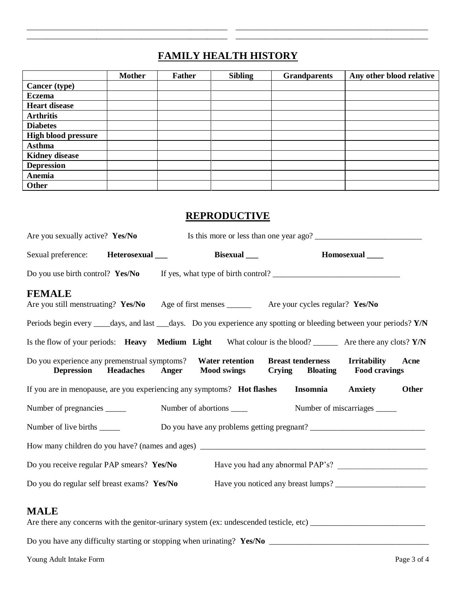## **FAMILY HEALTH HISTORY**

\_\_\_\_\_\_\_\_\_\_\_\_\_\_\_\_\_\_\_\_\_\_\_\_\_\_\_\_\_\_\_\_\_\_\_\_\_\_\_\_\_\_\_\_\_\_\_\_\_ \_\_\_\_\_\_\_\_\_\_\_\_\_\_\_\_\_\_\_\_\_\_\_\_\_\_\_\_\_\_\_\_\_\_\_\_\_\_\_\_\_\_\_\_\_\_\_ \_\_\_\_\_\_\_\_\_\_\_\_\_\_\_\_\_\_\_\_\_\_\_\_\_\_\_\_\_\_\_\_\_\_\_\_\_\_\_\_\_\_\_\_\_\_\_\_\_ \_\_\_\_\_\_\_\_\_\_\_\_\_\_\_\_\_\_\_\_\_\_\_\_\_\_\_\_\_\_\_\_\_\_\_\_\_\_\_\_\_\_\_\_\_\_\_

|                            | <b>Mother</b> | <b>Father</b> | <b>Sibling</b> | <b>Grandparents</b> | Any other blood relative |
|----------------------------|---------------|---------------|----------------|---------------------|--------------------------|
| <b>Cancer</b> (type)       |               |               |                |                     |                          |
| <b>Eczema</b>              |               |               |                |                     |                          |
| <b>Heart disease</b>       |               |               |                |                     |                          |
| <b>Arthritis</b>           |               |               |                |                     |                          |
| <b>Diabetes</b>            |               |               |                |                     |                          |
| <b>High blood pressure</b> |               |               |                |                     |                          |
| Asthma                     |               |               |                |                     |                          |
| <b>Kidney disease</b>      |               |               |                |                     |                          |
| <b>Depression</b>          |               |               |                |                     |                          |
| Anemia                     |               |               |                |                     |                          |
| <b>Other</b>               |               |               |                |                     |                          |

#### **REPRODUCTIVE**

| Are you sexually active? Yes/No                                                                                      |  |                                                        | Is this more or less than one year ago?     |       |
|----------------------------------------------------------------------------------------------------------------------|--|--------------------------------------------------------|---------------------------------------------|-------|
| Sexual preference: Heterosexual ___                                                                                  |  | Bisexual ___                                           | Homosexual _____                            |       |
|                                                                                                                      |  |                                                        |                                             |       |
| <b>FEMALE</b><br>Are you still menstruating? Yes/No Age of first menses ________ Are your cycles regular? Yes/No     |  |                                                        |                                             |       |
| Periods begin every ____days, and last ___days. Do you experience any spotting or bleeding between your periods? Y/N |  |                                                        |                                             |       |
| Is the flow of your periods: <b>Heavy</b> Medium Light What colour is the blood? _______ Are there any clots? Y/N    |  |                                                        |                                             |       |
| Do you experience any premenstrual symptoms? Water retention Breast tenderness                                       |  | Depression Headaches Anger Mood swings Crying Bloating | <b>Irritability</b><br><b>Food cravings</b> | Acne  |
| If you are in menopause, are you experiencing any symptoms? Hot flashes Insomnia                                     |  |                                                        | <b>Anxiety</b>                              | Other |
| Number of pregnancies ______                                                                                         |  | Number of abortions _____                              | Number of miscarriages ______               |       |
| Number of live births ______                                                                                         |  |                                                        | Do you have any problems getting pregnant?  |       |
|                                                                                                                      |  |                                                        |                                             |       |
| Do you receive regular PAP smears? Yes/No                                                                            |  |                                                        |                                             |       |
| Do you do regular self breast exams? Yes/No                                                                          |  |                                                        |                                             |       |
| <b>MALE</b><br>Are there any concerns with the genitor-urinary system (ex: undescended testicle, etc)                |  |                                                        |                                             |       |

Do you have any difficulty starting or stopping when urinating? **Yes/No** \_\_\_\_\_\_\_\_\_\_\_\_\_\_\_\_\_\_\_\_\_\_\_\_\_\_\_\_\_\_\_\_\_\_\_\_\_\_\_